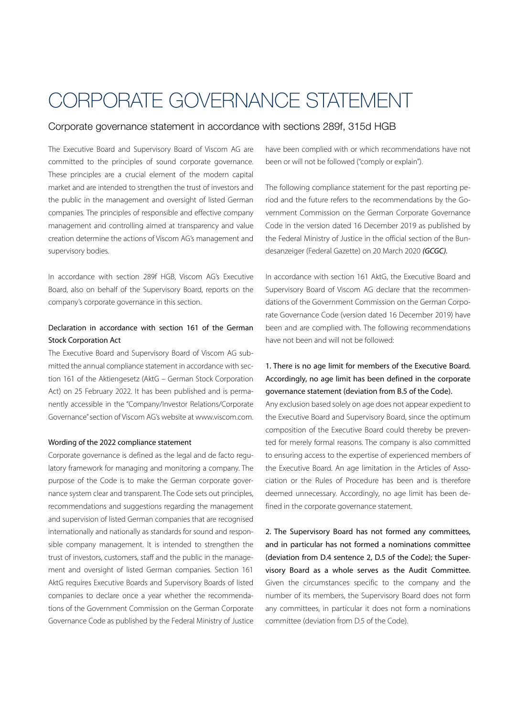# CORPORATE GOVERNANCE STATEMENT

# Corporate governance statement in accordance with sections 289f, 315d HGB

The Executive Board and Supervisory Board of Viscom AG are committed to the principles of sound corporate governance. These principles are a crucial element of the modern capital market and are intended to strengthen the trust of investors and the public in the management and oversight of listed German companies. The principles of responsible and effective company management and controlling aimed at transparency and value creation determine the actions of Viscom AG's management and supervisory bodies.

In accordance with section 289f HGB, Viscom AG's Executive Board, also on behalf of the Supervisory Board, reports on the company's corporate governance in this section.

# Declaration in accordance with section 161 of the German Stock Corporation Act

The Executive Board and Supervisory Board of Viscom AG submitted the annual compliance statement in accordance with section 161 of the Aktiengesetz (AktG – German Stock Corporation Act) on 25 February 2022. It has been published and is permanently accessible in the "Company/Investor Relations/Corporate Governance" section of Viscom AG's website at www.viscom.com.

### Wording of the 2022 compliance statement

Corporate governance is defined as the legal and de facto regulatory framework for managing and monitoring a company. The purpose of the Code is to make the German corporate governance system clear and transparent. The Code sets out principles, recommendations and suggestions regarding the management and supervision of listed German companies that are recognised internationally and nationally as standards for sound and responsible company management. It is intended to strengthen the trust of investors, customers, staff and the public in the management and oversight of listed German companies. Section 161 AktG requires Executive Boards and Supervisory Boards of listed companies to declare once a year whether the recommendations of the Government Commission on the German Corporate Governance Code as published by the Federal Ministry of Justice have been complied with or which recommendations have not been or will not be followed ("comply or explain").

The following compliance statement for the past reporting period and the future refers to the recommendations by the Government Commission on the German Corporate Governance Code in the version dated 16 December 2019 as published by the Federal Ministry of Justice in the official section of the Bundesanzeiger (Federal Gazette) on 20 March 2020 *(GCGC).* 

In accordance with section 161 AktG, the Executive Board and Supervisory Board of Viscom AG declare that the recommendations of the Government Commission on the German Corporate Governance Code (version dated 16 December 2019) have been and are complied with. The following recommendations have not been and will not be followed:

# 1. There is no age limit for members of the Executive Board. Accordingly, no age limit has been defined in the corporate governance statement (deviation from B.5 of the Code).

Any exclusion based solely on age does not appear expedient to the Executive Board and Supervisory Board, since the optimum composition of the Executive Board could thereby be prevented for merely formal reasons. The company is also committed to ensuring access to the expertise of experienced members of the Executive Board. An age limitation in the Articles of Association or the Rules of Procedure has been and is therefore deemed unnecessary. Accordingly, no age limit has been defined in the corporate governance statement.

2. The Supervisory Board has not formed any committees, and in particular has not formed a nominations committee (deviation from D.4 sentence 2, D.5 of the Code); the Supervisory Board as a whole serves as the Audit Committee. Given the circumstances specific to the company and the number of its members, the Supervisory Board does not form any committees, in particular it does not form a nominations committee (deviation from D.5 of the Code).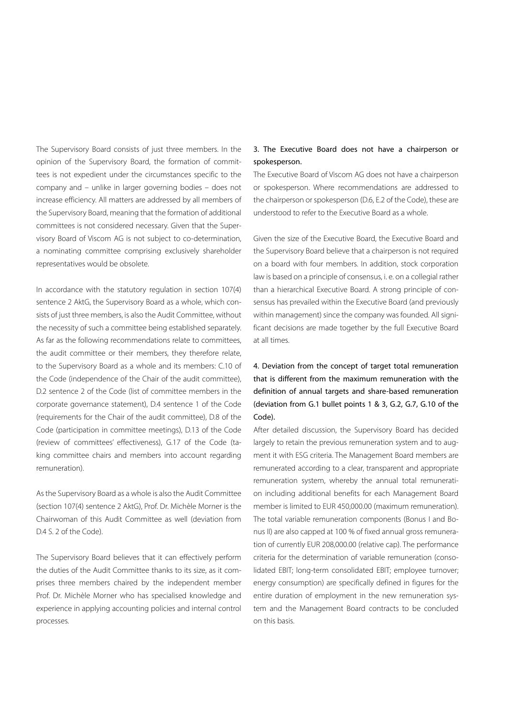The Supervisory Board consists of just three members. In the opinion of the Supervisory Board, the formation of committees is not expedient under the circumstances specific to the company and – unlike in larger governing bodies – does not increase efficiency. All matters are addressed by all members of the Supervisory Board, meaning that the formation of additional committees is not considered necessary. Given that the Supervisory Board of Viscom AG is not subject to co-determination, a nominating committee comprising exclusively shareholder representatives would be obsolete.

In accordance with the statutory regulation in section 107(4) sentence 2 AktG, the Supervisory Board as a whole, which consists of just three members, is also the Audit Committee, without the necessity of such a committee being established separately. As far as the following recommendations relate to committees, the audit committee or their members, they therefore relate, to the Supervisory Board as a whole and its members: C.10 of the Code (independence of the Chair of the audit committee), D.2 sentence 2 of the Code (list of committee members in the corporate governance statement), D.4 sentence 1 of the Code (requirements for the Chair of the audit committee), D.8 of the Code (participation in committee meetings), D.13 of the Code (review of committees' effectiveness), G.17 of the Code (taking committee chairs and members into account regarding remuneration).

As the Supervisory Board as a whole is also the Audit Committee (section 107(4) sentence 2 AktG), Prof. Dr. Michèle Morner is the Chairwoman of this Audit Committee as well (deviation from D.4 S. 2 of the Code).

The Supervisory Board believes that it can effectively perform the duties of the Audit Committee thanks to its size, as it comprises three members chaired by the independent member Prof. Dr. Michèle Morner who has specialised knowledge and experience in applying accounting policies and internal control processes.

# 3. The Executive Board does not have a chairperson or spokesperson.

The Executive Board of Viscom AG does not have a chairperson or spokesperson. Where recommendations are addressed to the chairperson or spokesperson (D.6, E.2 of the Code), these are understood to refer to the Executive Board as a whole.

Given the size of the Executive Board, the Executive Board and the Supervisory Board believe that a chairperson is not required on a board with four members. In addition, stock corporation law is based on a principle of consensus, i. e. on a collegial rather than a hierarchical Executive Board. A strong principle of consensus has prevailed within the Executive Board (and previously within management) since the company was founded. All significant decisions are made together by the full Executive Board at all times.

# 4. Deviation from the concept of target total remuneration that is different from the maximum remuneration with the definition of annual targets and share-based remuneration (deviation from G.1 bullet points 1 & 3, G.2, G.7, G.10 of the Code).

After detailed discussion, the Supervisory Board has decided largely to retain the previous remuneration system and to augment it with ESG criteria. The Management Board members are remunerated according to a clear, transparent and appropriate remuneration system, whereby the annual total remuneration including additional benefits for each Management Board member is limited to EUR 450,000.00 (maximum remuneration). The total variable remuneration components (Bonus I and Bonus II) are also capped at 100 % of fixed annual gross remuneration of currently EUR 208,000.00 (relative cap). The performance criteria for the determination of variable remuneration (consolidated EBIT; long-term consolidated EBIT; employee turnover; energy consumption) are specifically defined in figures for the entire duration of employment in the new remuneration system and the Management Board contracts to be concluded on this basis.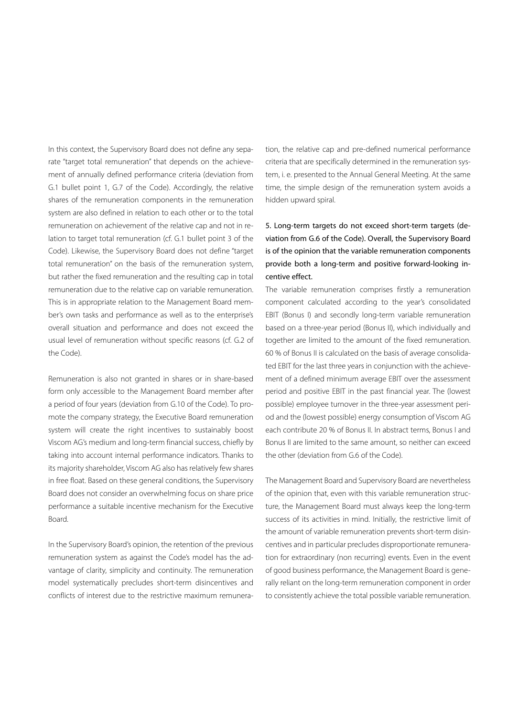In this context, the Supervisory Board does not define any separate "target total remuneration" that depends on the achievement of annually defined performance criteria (deviation from G.1 bullet point 1, G.7 of the Code). Accordingly, the relative shares of the remuneration components in the remuneration system are also defined in relation to each other or to the total remuneration on achievement of the relative cap and not in relation to target total remuneration (cf. G.1 bullet point 3 of the Code). Likewise, the Supervisory Board does not define "target total remuneration" on the basis of the remuneration system, but rather the fixed remuneration and the resulting cap in total remuneration due to the relative cap on variable remuneration. This is in appropriate relation to the Management Board member's own tasks and performance as well as to the enterprise's overall situation and performance and does not exceed the usual level of remuneration without specific reasons (cf. G.2 of the Code).

Remuneration is also not granted in shares or in share-based form only accessible to the Management Board member after a period of four years (deviation from G.10 of the Code). To promote the company strategy, the Executive Board remuneration system will create the right incentives to sustainably boost Viscom AG's medium and long-term financial success, chiefly by taking into account internal performance indicators. Thanks to its majority shareholder, Viscom AG also has relatively few shares in free float. Based on these general conditions, the Supervisory Board does not consider an overwhelming focus on share price performance a suitable incentive mechanism for the Executive Board.

In the Supervisory Board's opinion, the retention of the previous remuneration system as against the Code's model has the advantage of clarity, simplicity and continuity. The remuneration model systematically precludes short-term disincentives and conflicts of interest due to the restrictive maximum remuneration, the relative cap and pre-defined numerical performance criteria that are specifically determined in the remuneration system, i. e. presented to the Annual General Meeting. At the same time, the simple design of the remuneration system avoids a hidden upward spiral.

# 5. Long-term targets do not exceed short-term targets (deviation from G.6 of the Code). Overall, the Supervisory Board is of the opinion that the variable remuneration components provide both a long-term and positive forward-looking incentive effect.

The variable remuneration comprises firstly a remuneration component calculated according to the year's consolidated EBIT (Bonus I) and secondly long-term variable remuneration based on a three-year period (Bonus II), which individually and together are limited to the amount of the fixed remuneration. 60 % of Bonus II is calculated on the basis of average consolidated EBIT for the last three years in conjunction with the achievement of a defined minimum average EBIT over the assessment period and positive EBIT in the past financial year. The (lowest possible) employee turnover in the three-year assessment period and the (lowest possible) energy consumption of Viscom AG each contribute 20 % of Bonus II. In abstract terms, Bonus I and Bonus II are limited to the same amount, so neither can exceed the other (deviation from G.6 of the Code).

The Management Board and Supervisory Board are nevertheless of the opinion that, even with this variable remuneration structure, the Management Board must always keep the long-term success of its activities in mind. Initially, the restrictive limit of the amount of variable remuneration prevents short-term disincentives and in particular precludes disproportionate remuneration for extraordinary (non recurring) events. Even in the event of good business performance, the Management Board is generally reliant on the long-term remuneration component in order to consistently achieve the total possible variable remuneration.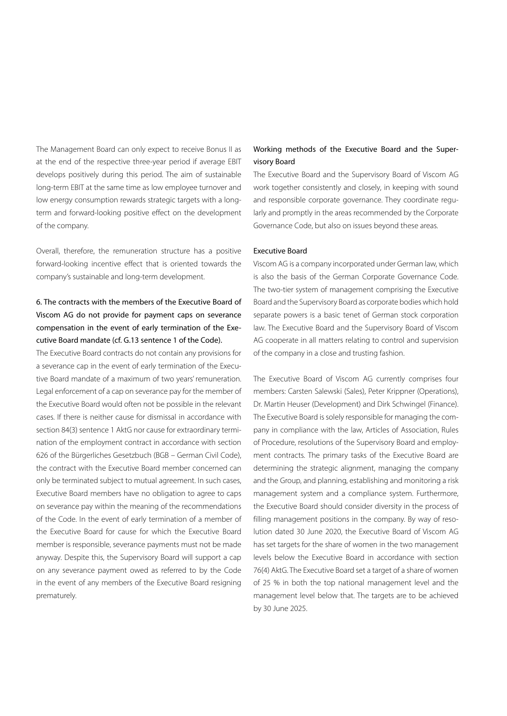The Management Board can only expect to receive Bonus II as at the end of the respective three-year period if average EBIT develops positively during this period. The aim of sustainable long-term EBIT at the same time as low employee turnover and low energy consumption rewards strategic targets with a longterm and forward-looking positive effect on the development of the company.

Overall, therefore, the remuneration structure has a positive forward-looking incentive effect that is oriented towards the company's sustainable and long-term development.

# 6. The contracts with the members of the Executive Board of Viscom AG do not provide for payment caps on severance compensation in the event of early termination of the Executive Board mandate (cf. G.13 sentence 1 of the Code).

The Executive Board contracts do not contain any provisions for a severance cap in the event of early termination of the Executive Board mandate of a maximum of two years' remuneration. Legal enforcement of a cap on severance pay for the member of the Executive Board would often not be possible in the relevant cases. If there is neither cause for dismissal in accordance with section 84(3) sentence 1 AktG nor cause for extraordinary termination of the employment contract in accordance with section 626 of the Bürgerliches Gesetzbuch (BGB – German Civil Code), the contract with the Executive Board member concerned can only be terminated subject to mutual agreement. In such cases, Executive Board members have no obligation to agree to caps on severance pay within the meaning of the recommendations of the Code. In the event of early termination of a member of the Executive Board for cause for which the Executive Board member is responsible, severance payments must not be made anyway. Despite this, the Supervisory Board will support a cap on any severance payment owed as referred to by the Code in the event of any members of the Executive Board resigning prematurely.

# Working methods of the Executive Board and the Supervisory Board

The Executive Board and the Supervisory Board of Viscom AG work together consistently and closely, in keeping with sound and responsible corporate governance. They coordinate regularly and promptly in the areas recommended by the Corporate Governance Code, but also on issues beyond these areas.

#### Executive Board

Viscom AG is a company incorporated under German law, which is also the basis of the German Corporate Governance Code. The two-tier system of management comprising the Executive Board and the Supervisory Board as corporate bodies which hold separate powers is a basic tenet of German stock corporation law. The Executive Board and the Supervisory Board of Viscom AG cooperate in all matters relating to control and supervision of the company in a close and trusting fashion.

The Executive Board of Viscom AG currently comprises four members: Carsten Salewski (Sales), Peter Krippner (Operations), Dr. Martin Heuser (Development) and Dirk Schwingel (Finance). The Executive Board is solely responsible for managing the company in compliance with the law, Articles of Association, Rules of Procedure, resolutions of the Supervisory Board and employment contracts. The primary tasks of the Executive Board are determining the strategic alignment, managing the company and the Group, and planning, establishing and monitoring a risk management system and a compliance system. Furthermore, the Executive Board should consider diversity in the process of filling management positions in the company. By way of resolution dated 30 June 2020, the Executive Board of Viscom AG has set targets for the share of women in the two management levels below the Executive Board in accordance with section 76(4) AktG. The Executive Board set a target of a share of women of 25 % in both the top national management level and the management level below that. The targets are to be achieved by 30 June 2025.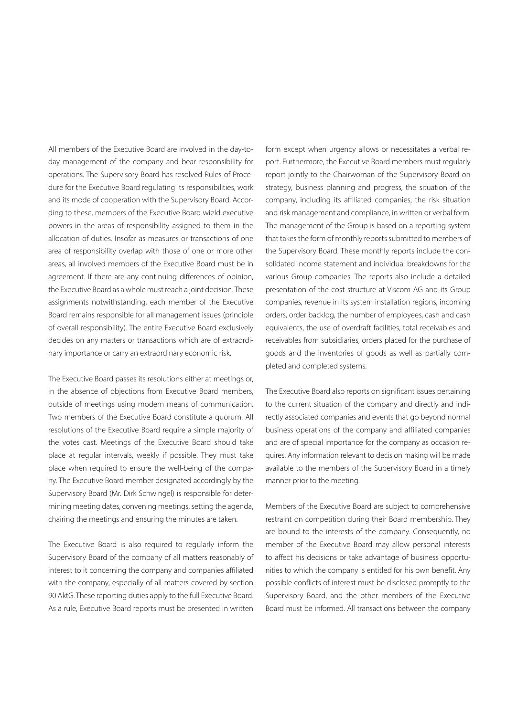All members of the Executive Board are involved in the day-today management of the company and bear responsibility for operations. The Supervisory Board has resolved Rules of Procedure for the Executive Board regulating its responsibilities, work and its mode of cooperation with the Supervisory Board. According to these, members of the Executive Board wield executive powers in the areas of responsibility assigned to them in the allocation of duties. Insofar as measures or transactions of one area of responsibility overlap with those of one or more other areas, all involved members of the Executive Board must be in agreement. If there are any continuing differences of opinion, the Executive Board as a whole must reach a joint decision. These assignments notwithstanding, each member of the Executive Board remains responsible for all management issues (principle of overall responsibility). The entire Executive Board exclusively decides on any matters or transactions which are of extraordinary importance or carry an extraordinary economic risk.

The Executive Board passes its resolutions either at meetings or, in the absence of objections from Executive Board members, outside of meetings using modern means of communication. Two members of the Executive Board constitute a quorum. All resolutions of the Executive Board require a simple majority of the votes cast. Meetings of the Executive Board should take place at regular intervals, weekly if possible. They must take place when required to ensure the well-being of the company. The Executive Board member designated accordingly by the Supervisory Board (Mr. Dirk Schwingel) is responsible for determining meeting dates, convening meetings, setting the agenda, chairing the meetings and ensuring the minutes are taken.

The Executive Board is also required to regularly inform the Supervisory Board of the company of all matters reasonably of interest to it concerning the company and companies affiliated with the company, especially of all matters covered by section 90 AktG. These reporting duties apply to the full Executive Board. As a rule, Executive Board reports must be presented in written

form except when urgency allows or necessitates a verbal report. Furthermore, the Executive Board members must regularly report jointly to the Chairwoman of the Supervisory Board on strategy, business planning and progress, the situation of the company, including its affiliated companies, the risk situation and risk management and compliance, in written or verbal form. The management of the Group is based on a reporting system that takes the form of monthly reports submitted to members of the Supervisory Board. These monthly reports include the consolidated income statement and individual breakdowns for the various Group companies. The reports also include a detailed presentation of the cost structure at Viscom AG and its Group companies, revenue in its system installation regions, incoming orders, order backlog, the number of employees, cash and cash equivalents, the use of overdraft facilities, total receivables and receivables from subsidiaries, orders placed for the purchase of goods and the inventories of goods as well as partially completed and completed systems.

The Executive Board also reports on significant issues pertaining to the current situation of the company and directly and indirectly associated companies and events that go beyond normal business operations of the company and affiliated companies and are of special importance for the company as occasion requires. Any information relevant to decision making will be made available to the members of the Supervisory Board in a timely manner prior to the meeting.

Members of the Executive Board are subject to comprehensive restraint on competition during their Board membership. They are bound to the interests of the company. Consequently, no member of the Executive Board may allow personal interests to affect his decisions or take advantage of business opportunities to which the company is entitled for his own benefit. Any possible conflicts of interest must be disclosed promptly to the Supervisory Board, and the other members of the Executive Board must be informed. All transactions between the company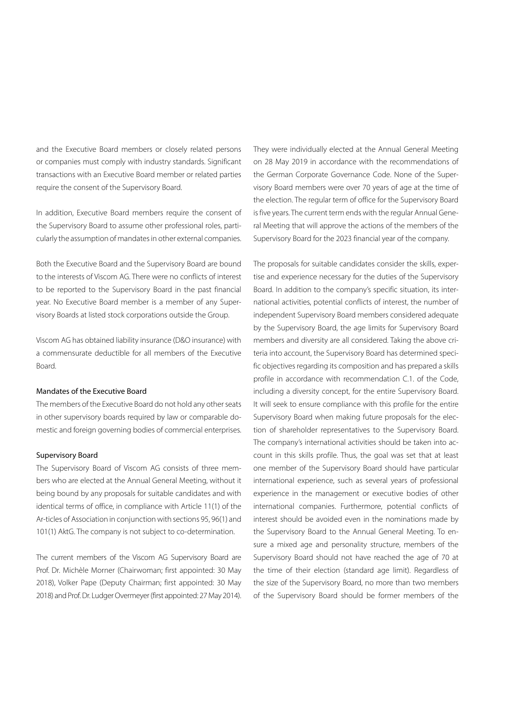and the Executive Board members or closely related persons or companies must comply with industry standards. Significant transactions with an Executive Board member or related parties require the consent of the Supervisory Board.

In addition, Executive Board members require the consent of the Supervisory Board to assume other professional roles, particularly the assumption of mandates in other external companies.

Both the Executive Board and the Supervisory Board are bound to the interests of Viscom AG. There were no conflicts of interest to be reported to the Supervisory Board in the past financial year. No Executive Board member is a member of any Supervisory Boards at listed stock corporations outside the Group.

Viscom AG has obtained liability insurance (D&O insurance) with a commensurate deductible for all members of the Executive Board.

### Mandates of the Executive Board

The members of the Executive Board do not hold any other seats in other supervisory boards required by law or comparable domestic and foreign governing bodies of commercial enterprises.

#### Supervisory Board

The Supervisory Board of Viscom AG consists of three members who are elected at the Annual General Meeting, without it being bound by any proposals for suitable candidates and with identical terms of office, in compliance with Article 11(1) of the Ar-ticles of Association in conjunction with sections 95, 96(1) and 101(1) AktG. The company is not subject to co-determination.

The current members of the Viscom AG Supervisory Board are Prof. Dr. Michèle Morner (Chairwoman; first appointed: 30 May 2018), Volker Pape (Deputy Chairman; first appointed: 30 May 2018) and Prof. Dr. Ludger Overmeyer (first appointed: 27 May 2014).

They were individually elected at the Annual General Meeting on 28 May 2019 in accordance with the recommendations of the German Corporate Governance Code. None of the Supervisory Board members were over 70 years of age at the time of the election. The regular term of office for the Supervisory Board is five years. The current term ends with the regular Annual General Meeting that will approve the actions of the members of the Supervisory Board for the 2023 financial year of the company.

The proposals for suitable candidates consider the skills, expertise and experience necessary for the duties of the Supervisory Board. In addition to the company's specific situation, its international activities, potential conflicts of interest, the number of independent Supervisory Board members considered adequate by the Supervisory Board, the age limits for Supervisory Board members and diversity are all considered. Taking the above criteria into account, the Supervisory Board has determined specific objectives regarding its composition and has prepared a skills profile in accordance with recommendation C.1. of the Code, including a diversity concept, for the entire Supervisory Board. It will seek to ensure compliance with this profile for the entire Supervisory Board when making future proposals for the election of shareholder representatives to the Supervisory Board. The company's international activities should be taken into account in this skills profile. Thus, the goal was set that at least one member of the Supervisory Board should have particular international experience, such as several years of professional experience in the management or executive bodies of other international companies. Furthermore, potential conflicts of interest should be avoided even in the nominations made by the Supervisory Board to the Annual General Meeting. To ensure a mixed age and personality structure, members of the Supervisory Board should not have reached the age of 70 at the time of their election (standard age limit). Regardless of the size of the Supervisory Board, no more than two members of the Supervisory Board should be former members of the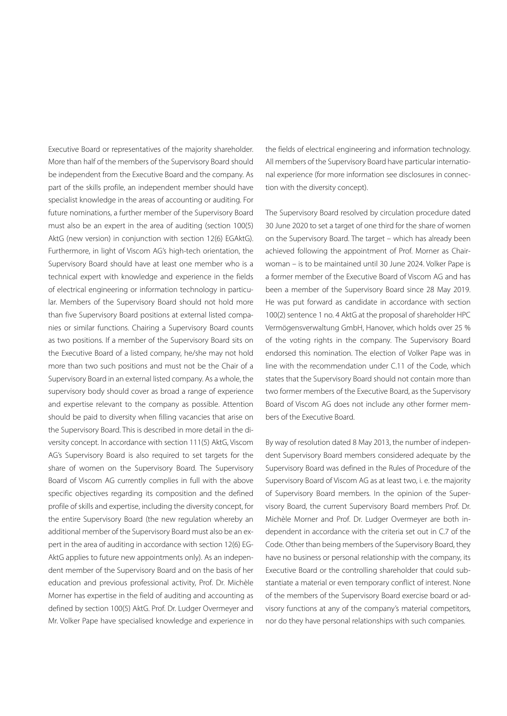Executive Board or representatives of the majority shareholder. More than half of the members of the Supervisory Board should be independent from the Executive Board and the company. As part of the skills profile, an independent member should have specialist knowledge in the areas of accounting or auditing. For future nominations, a further member of the Supervisory Board must also be an expert in the area of auditing (section 100(5) AktG (new version) in conjunction with section 12(6) EGAktG). Furthermore, in light of Viscom AG's high-tech orientation, the Supervisory Board should have at least one member who is a technical expert with knowledge and experience in the fields of electrical engineering or information technology in particular. Members of the Supervisory Board should not hold more than five Supervisory Board positions at external listed companies or similar functions. Chairing a Supervisory Board counts as two positions. If a member of the Supervisory Board sits on the Executive Board of a listed company, he/she may not hold more than two such positions and must not be the Chair of a Supervisory Board in an external listed company. As a whole, the supervisory body should cover as broad a range of experience and expertise relevant to the company as possible. Attention should be paid to diversity when filling vacancies that arise on the Supervisory Board. This is described in more detail in the diversity concept. In accordance with section 111(5) AktG, Viscom AG's Supervisory Board is also required to set targets for the share of women on the Supervisory Board. The Supervisory Board of Viscom AG currently complies in full with the above specific objectives regarding its composition and the defined profile of skills and expertise, including the diversity concept, for the entire Supervisory Board (the new regulation whereby an additional member of the Supervisory Board must also be an expert in the area of auditing in accordance with section 12(6) EG-AktG applies to future new appointments only). As an independent member of the Supervisory Board and on the basis of her education and previous professional activity, Prof. Dr. Michèle Morner has expertise in the field of auditing and accounting as defined by section 100(5) AktG. Prof. Dr. Ludger Overmeyer and Mr. Volker Pape have specialised knowledge and experience in

the fields of electrical engineering and information technology. All members of the Supervisory Board have particular international experience (for more information see disclosures in connection with the diversity concept).

The Supervisory Board resolved by circulation procedure dated 30 June 2020 to set a target of one third for the share of women on the Supervisory Board. The target – which has already been achieved following the appointment of Prof. Morner as Chairwoman – is to be maintained until 30 June 2024. Volker Pape is a former member of the Executive Board of Viscom AG and has been a member of the Supervisory Board since 28 May 2019. He was put forward as candidate in accordance with section 100(2) sentence 1 no. 4 AktG at the proposal of shareholder HPC Vermögensverwaltung GmbH, Hanover, which holds over 25 % of the voting rights in the company. The Supervisory Board endorsed this nomination. The election of Volker Pape was in line with the recommendation under C.11 of the Code, which states that the Supervisory Board should not contain more than two former members of the Executive Board, as the Supervisory Board of Viscom AG does not include any other former members of the Executive Board.

By way of resolution dated 8 May 2013, the number of independent Supervisory Board members considered adequate by the Supervisory Board was defined in the Rules of Procedure of the Supervisory Board of Viscom AG as at least two, i. e. the majority of Supervisory Board members. In the opinion of the Supervisory Board, the current Supervisory Board members Prof. Dr. Michèle Morner and Prof. Dr. Ludger Overmeyer are both independent in accordance with the criteria set out in C.7 of the Code. Other than being members of the Supervisory Board, they have no business or personal relationship with the company, its Executive Board or the controlling shareholder that could substantiate a material or even temporary conflict of interest. None of the members of the Supervisory Board exercise board or advisory functions at any of the company's material competitors, nor do they have personal relationships with such companies.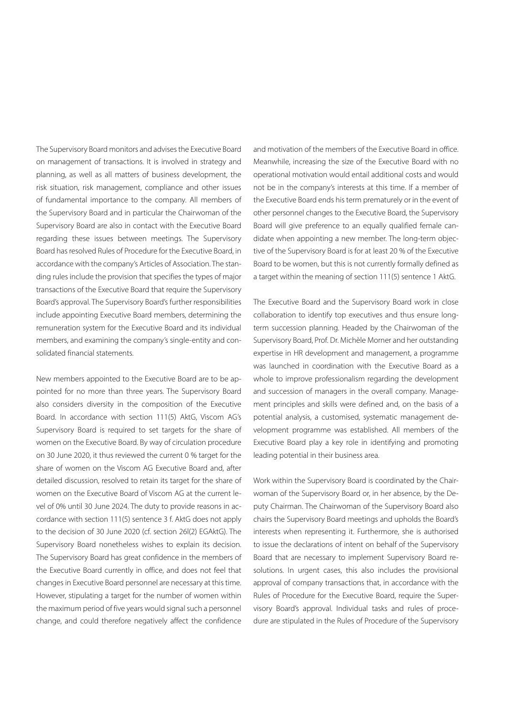The Supervisory Board monitors and advises the Executive Board on management of transactions. It is involved in strategy and planning, as well as all matters of business development, the risk situation, risk management, compliance and other issues of fundamental importance to the company. All members of the Supervisory Board and in particular the Chairwoman of the Supervisory Board are also in contact with the Executive Board regarding these issues between meetings. The Supervisory Board has resolved Rules of Procedure for the Executive Board, in accordance with the company's Articles of Association. The standing rules include the provision that specifies the types of major transactions of the Executive Board that require the Supervisory Board's approval. The Supervisory Board's further responsibilities include appointing Executive Board members, determining the remuneration system for the Executive Board and its individual members, and examining the company's single-entity and consolidated financial statements.

New members appointed to the Executive Board are to be appointed for no more than three years. The Supervisory Board also considers diversity in the composition of the Executive Board. In accordance with section 111(5) AktG, Viscom AG's Supervisory Board is required to set targets for the share of women on the Executive Board. By way of circulation procedure on 30 June 2020, it thus reviewed the current 0 % target for the share of women on the Viscom AG Executive Board and, after detailed discussion, resolved to retain its target for the share of women on the Executive Board of Viscom AG at the current level of 0% until 30 June 2024. The duty to provide reasons in accordance with section 111(5) sentence 3 f. AktG does not apply to the decision of 30 June 2020 (cf. section 26l(2) EGAktG). The Supervisory Board nonetheless wishes to explain its decision. The Supervisory Board has great confidence in the members of the Executive Board currently in office, and does not feel that changes in Executive Board personnel are necessary at this time. However, stipulating a target for the number of women within the maximum period of five years would signal such a personnel change, and could therefore negatively affect the confidence and motivation of the members of the Executive Board in office. Meanwhile, increasing the size of the Executive Board with no operational motivation would entail additional costs and would not be in the company's interests at this time. If a member of the Executive Board ends his term prematurely or in the event of other personnel changes to the Executive Board, the Supervisory Board will give preference to an equally qualified female candidate when appointing a new member. The long-term objective of the Supervisory Board is for at least 20 % of the Executive Board to be women, but this is not currently formally defined as a target within the meaning of section 111(5) sentence 1 AktG.

The Executive Board and the Supervisory Board work in close collaboration to identify top executives and thus ensure longterm succession planning. Headed by the Chairwoman of the Supervisory Board, Prof. Dr. Michèle Morner and her outstanding expertise in HR development and management, a programme was launched in coordination with the Executive Board as a whole to improve professionalism regarding the development and succession of managers in the overall company. Management principles and skills were defined and, on the basis of a potential analysis, a customised, systematic management development programme was established. All members of the Executive Board play a key role in identifying and promoting leading potential in their business area.

Work within the Supervisory Board is coordinated by the Chairwoman of the Supervisory Board or, in her absence, by the Deputy Chairman. The Chairwoman of the Supervisory Board also chairs the Supervisory Board meetings and upholds the Board's interests when representing it. Furthermore, she is authorised to issue the declarations of intent on behalf of the Supervisory Board that are necessary to implement Supervisory Board resolutions. In urgent cases, this also includes the provisional approval of company transactions that, in accordance with the Rules of Procedure for the Executive Board, require the Supervisory Board's approval. Individual tasks and rules of procedure are stipulated in the Rules of Procedure of the Supervisory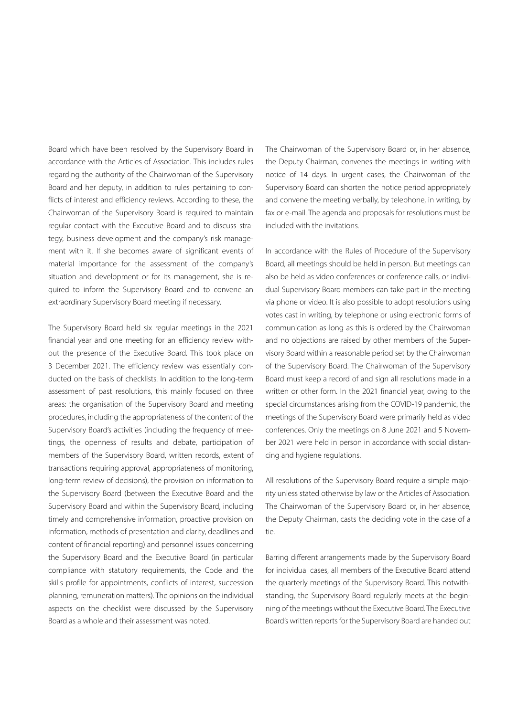Board which have been resolved by the Supervisory Board in accordance with the Articles of Association. This includes rules regarding the authority of the Chairwoman of the Supervisory Board and her deputy, in addition to rules pertaining to conflicts of interest and efficiency reviews. According to these, the Chairwoman of the Supervisory Board is required to maintain regular contact with the Executive Board and to discuss strategy, business development and the company's risk management with it. If she becomes aware of significant events of material importance for the assessment of the company's situation and development or for its management, she is required to inform the Supervisory Board and to convene an extraordinary Supervisory Board meeting if necessary.

The Supervisory Board held six regular meetings in the 2021 financial year and one meeting for an efficiency review without the presence of the Executive Board. This took place on 3 December 2021. The efficiency review was essentially conducted on the basis of checklists. In addition to the long-term assessment of past resolutions, this mainly focused on three areas: the organisation of the Supervisory Board and meeting procedures, including the appropriateness of the content of the Supervisory Board's activities (including the frequency of meetings, the openness of results and debate, participation of members of the Supervisory Board, written records, extent of transactions requiring approval, appropriateness of monitoring, long-term review of decisions), the provision on information to the Supervisory Board (between the Executive Board and the Supervisory Board and within the Supervisory Board, including timely and comprehensive information, proactive provision on information, methods of presentation and clarity, deadlines and content of financial reporting) and personnel issues concerning the Supervisory Board and the Executive Board (in particular compliance with statutory requirements, the Code and the skills profile for appointments, conflicts of interest, succession planning, remuneration matters). The opinions on the individual aspects on the checklist were discussed by the Supervisory Board as a whole and their assessment was noted.

The Chairwoman of the Supervisory Board or, in her absence, the Deputy Chairman, convenes the meetings in writing with notice of 14 days. In urgent cases, the Chairwoman of the Supervisory Board can shorten the notice period appropriately and convene the meeting verbally, by telephone, in writing, by fax or e-mail. The agenda and proposals for resolutions must be included with the invitations.

In accordance with the Rules of Procedure of the Supervisory Board, all meetings should be held in person. But meetings can also be held as video conferences or conference calls, or individual Supervisory Board members can take part in the meeting via phone or video. It is also possible to adopt resolutions using votes cast in writing, by telephone or using electronic forms of communication as long as this is ordered by the Chairwoman and no objections are raised by other members of the Supervisory Board within a reasonable period set by the Chairwoman of the Supervisory Board. The Chairwoman of the Supervisory Board must keep a record of and sign all resolutions made in a written or other form. In the 2021 financial year, owing to the special circumstances arising from the COVID-19 pandemic, the meetings of the Supervisory Board were primarily held as video conferences. Only the meetings on 8 June 2021 and 5 November 2021 were held in person in accordance with social distancing and hygiene regulations.

All resolutions of the Supervisory Board require a simple majority unless stated otherwise by law or the Articles of Association. The Chairwoman of the Supervisory Board or, in her absence, the Deputy Chairman, casts the deciding vote in the case of a tie.

Barring different arrangements made by the Supervisory Board for individual cases, all members of the Executive Board attend the quarterly meetings of the Supervisory Board. This notwithstanding, the Supervisory Board regularly meets at the beginning of the meetings without the Executive Board. The Executive Board's written reports for the Supervisory Board are handed out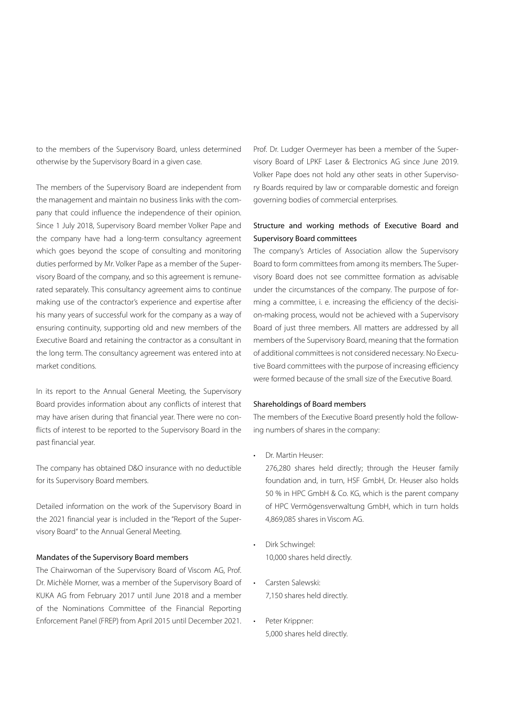to the members of the Supervisory Board, unless determined otherwise by the Supervisory Board in a given case.

The members of the Supervisory Board are independent from the management and maintain no business links with the company that could influence the independence of their opinion. Since 1 July 2018, Supervisory Board member Volker Pape and the company have had a long-term consultancy agreement which goes beyond the scope of consulting and monitoring duties performed by Mr. Volker Pape as a member of the Supervisory Board of the company, and so this agreement is remunerated separately. This consultancy agreement aims to continue making use of the contractor's experience and expertise after his many years of successful work for the company as a way of ensuring continuity, supporting old and new members of the Executive Board and retaining the contractor as a consultant in the long term. The consultancy agreement was entered into at market conditions.

In its report to the Annual General Meeting, the Supervisory Board provides information about any conflicts of interest that may have arisen during that financial year. There were no conflicts of interest to be reported to the Supervisory Board in the past financial year.

The company has obtained D&O insurance with no deductible for its Supervisory Board members.

Detailed information on the work of the Supervisory Board in the 2021 financial year is included in the "Report of the Supervisory Board" to the Annual General Meeting.

## Mandates of the Supervisory Board members

The Chairwoman of the Supervisory Board of Viscom AG, Prof. Dr. Michèle Morner, was a member of the Supervisory Board of KUKA AG from February 2017 until June 2018 and a member of the Nominations Committee of the Financial Reporting Enforcement Panel (FREP) from April 2015 until December 2021. Prof. Dr. Ludger Overmeyer has been a member of the Supervisory Board of LPKF Laser & Electronics AG since June 2019. Volker Pape does not hold any other seats in other Supervisory Boards required by law or comparable domestic and foreign governing bodies of commercial enterprises.

# Structure and working methods of Executive Board and Supervisory Board committees

The company's Articles of Association allow the Supervisory Board to form committees from among its members. The Supervisory Board does not see committee formation as advisable under the circumstances of the company. The purpose of forming a committee, i. e. increasing the efficiency of the decision-making process, would not be achieved with a Supervisory Board of just three members. All matters are addressed by all members of the Supervisory Board, meaning that the formation of additional committees is not considered necessary. No Executive Board committees with the purpose of increasing efficiency were formed because of the small size of the Executive Board.

#### Shareholdings of Board members

The members of the Executive Board presently hold the following numbers of shares in the company:

• Dr. Martin Heuser:

276,280 shares held directly; through the Heuser family foundation and, in turn, HSF GmbH, Dr. Heuser also holds 50 % in HPC GmbH & Co. KG, which is the parent company of HPC Vermögensverwaltung GmbH, which in turn holds 4,869,085 shares in Viscom AG.

- Dirk Schwingel: 10,000 shares held directly.
- Carsten Salewski: 7,150 shares held directly.
- Peter Krippner: 5,000 shares held directly.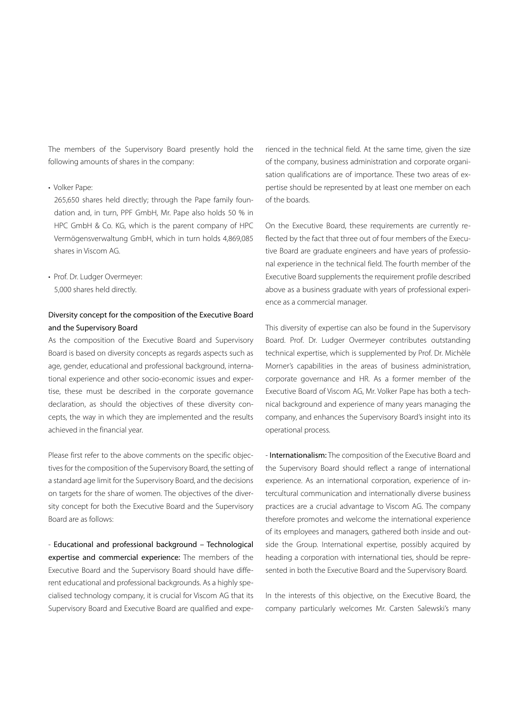The members of the Supervisory Board presently hold the following amounts of shares in the company:

#### • Volker Pape:

265,650 shares held directly; through the Pape family foundation and, in turn, PPF GmbH, Mr. Pape also holds 50 % in HPC GmbH & Co. KG, which is the parent company of HPC Vermögensverwaltung GmbH, which in turn holds 4,869,085 shares in Viscom AG.

• Prof. Dr. Ludger Overmeyer: 5,000 shares held directly.

# Diversity concept for the composition of the Executive Board and the Supervisory Board

As the composition of the Executive Board and Supervisory Board is based on diversity concepts as regards aspects such as age, gender, educational and professional background, international experience and other socio-economic issues and expertise, these must be described in the corporate governance declaration, as should the objectives of these diversity concepts, the way in which they are implemented and the results achieved in the financial year.

Please first refer to the above comments on the specific objectives for the composition of the Supervisory Board, the setting of a standard age limit for the Supervisory Board, and the decisions on targets for the share of women. The objectives of the diversity concept for both the Executive Board and the Supervisory Board are as follows:

- Educational and professional background – Technological expertise and commercial experience: The members of the Executive Board and the Supervisory Board should have different educational and professional backgrounds. As a highly specialised technology company, it is crucial for Viscom AG that its Supervisory Board and Executive Board are qualified and experienced in the technical field. At the same time, given the size of the company, business administration and corporate organisation qualifications are of importance. These two areas of expertise should be represented by at least one member on each of the boards.

On the Executive Board, these requirements are currently reflected by the fact that three out of four members of the Executive Board are graduate engineers and have years of professional experience in the technical field. The fourth member of the Executive Board supplements the requirement profile described above as a business graduate with years of professional experience as a commercial manager.

This diversity of expertise can also be found in the Supervisory Board. Prof. Dr. Ludger Overmeyer contributes outstanding technical expertise, which is supplemented by Prof. Dr. Michèle Morner's capabilities in the areas of business administration, corporate governance and HR. As a former member of the Executive Board of Viscom AG, Mr. Volker Pape has both a technical background and experience of many years managing the company, and enhances the Supervisory Board's insight into its operational process.

- Internationalism: The composition of the Executive Board and the Supervisory Board should reflect a range of international experience. As an international corporation, experience of intercultural communication and internationally diverse business practices are a crucial advantage to Viscom AG. The company therefore promotes and welcome the international experience of its employees and managers, gathered both inside and outside the Group. International expertise, possibly acquired by heading a corporation with international ties, should be represented in both the Executive Board and the Supervisory Board.

In the interests of this objective, on the Executive Board, the company particularly welcomes Mr. Carsten Salewski's many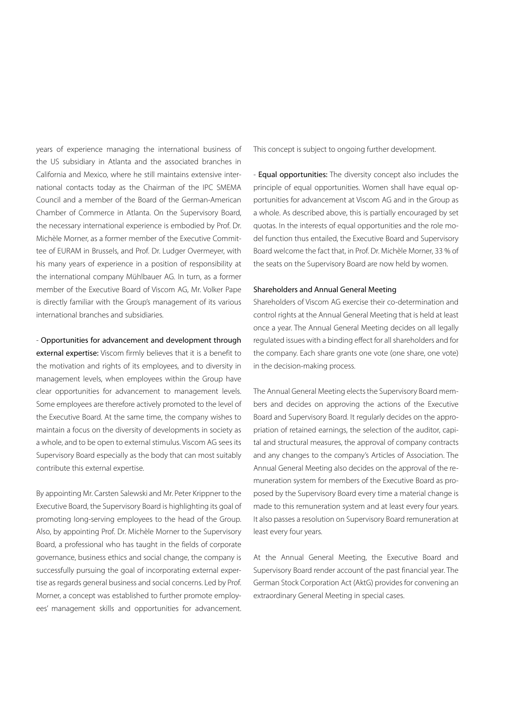years of experience managing the international business of the US subsidiary in Atlanta and the associated branches in California and Mexico, where he still maintains extensive international contacts today as the Chairman of the IPC SMEMA Council and a member of the Board of the German-American Chamber of Commerce in Atlanta. On the Supervisory Board, the necessary international experience is embodied by Prof. Dr. Michèle Morner, as a former member of the Executive Committee of EURAM in Brussels, and Prof. Dr. Ludger Overmeyer, with his many years of experience in a position of responsibility at the international company Mühlbauer AG. In turn, as a former member of the Executive Board of Viscom AG, Mr. Volker Pape is directly familiar with the Group's management of its various international branches and subsidiaries.

- Opportunities for advancement and development through external expertise: Viscom firmly believes that it is a benefit to the motivation and rights of its employees, and to diversity in management levels, when employees within the Group have clear opportunities for advancement to management levels. Some employees are therefore actively promoted to the level of the Executive Board. At the same time, the company wishes to maintain a focus on the diversity of developments in society as a whole, and to be open to external stimulus. Viscom AG sees its Supervisory Board especially as the body that can most suitably contribute this external expertise.

By appointing Mr. Carsten Salewski and Mr. Peter Krippner to the Executive Board, the Supervisory Board is highlighting its goal of promoting long-serving employees to the head of the Group. Also, by appointing Prof. Dr. Michèle Morner to the Supervisory Board, a professional who has taught in the fields of corporate governance, business ethics and social change, the company is successfully pursuing the goal of incorporating external expertise as regards general business and social concerns. Led by Prof. Morner, a concept was established to further promote employees' management skills and opportunities for advancement. This concept is subject to ongoing further development.

- Equal opportunities: The diversity concept also includes the principle of equal opportunities. Women shall have equal opportunities for advancement at Viscom AG and in the Group as a whole. As described above, this is partially encouraged by set quotas. In the interests of equal opportunities and the role model function thus entailed, the Executive Board and Supervisory Board welcome the fact that, in Prof. Dr. Michèle Morner, 33 % of the seats on the Supervisory Board are now held by women.

#### Shareholders and Annual General Meeting

Shareholders of Viscom AG exercise their co-determination and control rights at the Annual General Meeting that is held at least once a year. The Annual General Meeting decides on all legally regulated issues with a binding effect for all shareholders and for the company. Each share grants one vote (one share, one vote) in the decision-making process.

The Annual General Meeting elects the Supervisory Board members and decides on approving the actions of the Executive Board and Supervisory Board. It regularly decides on the appropriation of retained earnings, the selection of the auditor, capital and structural measures, the approval of company contracts and any changes to the company's Articles of Association. The Annual General Meeting also decides on the approval of the remuneration system for members of the Executive Board as proposed by the Supervisory Board every time a material change is made to this remuneration system and at least every four years. It also passes a resolution on Supervisory Board remuneration at least every four years.

At the Annual General Meeting, the Executive Board and Supervisory Board render account of the past financial year. The German Stock Corporation Act (AktG) provides for convening an extraordinary General Meeting in special cases.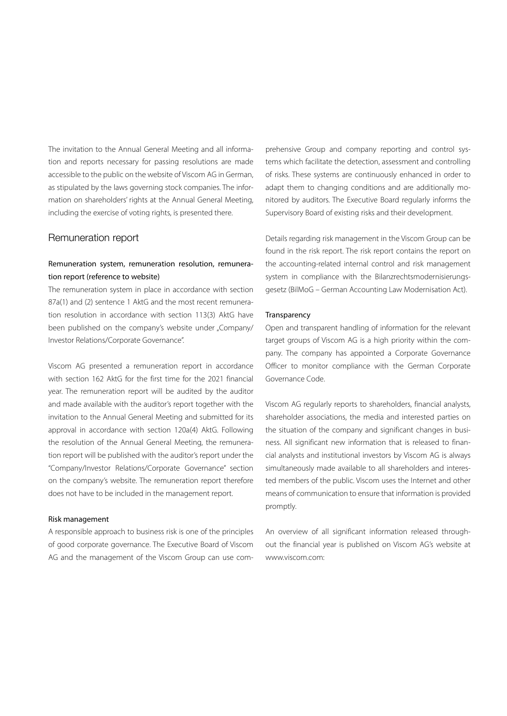The invitation to the Annual General Meeting and all information and reports necessary for passing resolutions are made accessible to the public on the website of Viscom AG in German, as stipulated by the laws governing stock companies. The information on shareholders' rights at the Annual General Meeting, including the exercise of voting rights, is presented there.

## Remuneration report

# Remuneration system, remuneration resolution, remuneration report (reference to website)

The remuneration system in place in accordance with section 87a(1) and (2) sentence 1 AktG and the most recent remuneration resolution in accordance with section 113(3) AktG have been published on the company's website under "Company/ Investor Relations/Corporate Governance".

Viscom AG presented a remuneration report in accordance with section 162 AktG for the first time for the 2021 financial year. The remuneration report will be audited by the auditor and made available with the auditor's report together with the invitation to the Annual General Meeting and submitted for its approval in accordance with section 120a(4) AktG. Following the resolution of the Annual General Meeting, the remuneration report will be published with the auditor's report under the "Company/Investor Relations/Corporate Governance" section on the company's website. The remuneration report therefore does not have to be included in the management report.

### Risk management

A responsible approach to business risk is one of the principles of good corporate governance. The Executive Board of Viscom AG and the management of the Viscom Group can use comprehensive Group and company reporting and control systems which facilitate the detection, assessment and controlling of risks. These systems are continuously enhanced in order to adapt them to changing conditions and are additionally monitored by auditors. The Executive Board regularly informs the Supervisory Board of existing risks and their development.

Details regarding risk management in the Viscom Group can be found in the risk report. The risk report contains the report on the accounting-related internal control and risk management system in compliance with the Bilanzrechtsmodernisierungsgesetz (BilMoG – German Accounting Law Modernisation Act).

#### **Transparency**

Open and transparent handling of information for the relevant target groups of Viscom AG is a high priority within the company. The company has appointed a Corporate Governance Officer to monitor compliance with the German Corporate Governance Code.

Viscom AG regularly reports to shareholders, financial analysts, shareholder associations, the media and interested parties on the situation of the company and significant changes in business. All significant new information that is released to financial analysts and institutional investors by Viscom AG is always simultaneously made available to all shareholders and interested members of the public. Viscom uses the Internet and other means of communication to ensure that information is provided promptly.

An overview of all significant information released throughout the financial year is published on Viscom AG's website at www.viscom.com: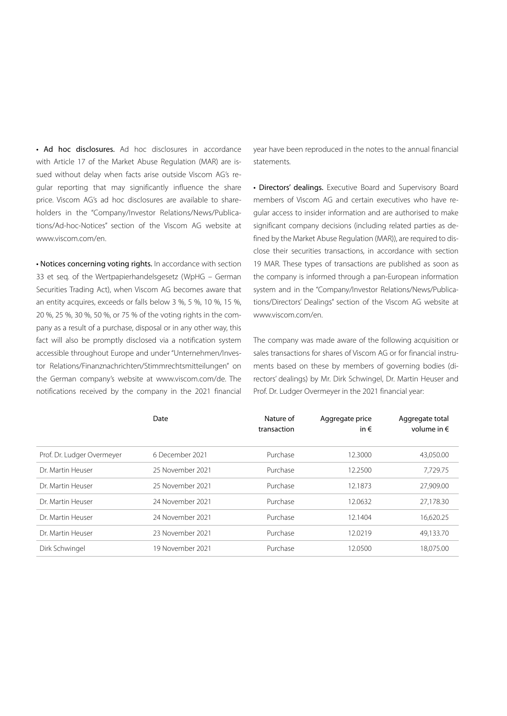• Ad hoc disclosures. Ad hoc disclosures in accordance with Article 17 of the Market Abuse Regulation (MAR) are issued without delay when facts arise outside Viscom AG's regular reporting that may significantly influence the share price. Viscom AG's ad hoc disclosures are available to shareholders in the "Company/Investor Relations/News/Publications/Ad-hoc-Notices" section of the Viscom AG website at www.viscom.com/en.

• Notices concerning voting rights. In accordance with section 33 et seq. of the Wertpapierhandelsgesetz (WpHG – German Securities Trading Act), when Viscom AG becomes aware that an entity acquires, exceeds or falls below 3 %, 5 %, 10 %, 15 %, 20 %, 25 %, 30 %, 50 %, or 75 % of the voting rights in the company as a result of a purchase, disposal or in any other way, this fact will also be promptly disclosed via a notification system accessible throughout Europe and under "Unternehmen/Investor Relations/Finanznachrichten/Stimmrechtsmitteilungen" on the German company's website at www.viscom.com/de. The notifications received by the company in the 2021 financial

year have been reproduced in the notes to the annual financial statements.

• Directors' dealings. Executive Board and Supervisory Board members of Viscom AG and certain executives who have regular access to insider information and are authorised to make significant company decisions (including related parties as defined by the Market Abuse Regulation (MAR)), are required to disclose their securities transactions, in accordance with section 19 MAR. These types of transactions are published as soon as the company is informed through a pan-European information system and in the "Company/Investor Relations/News/Publications/Directors' Dealings" section of the Viscom AG website at www.viscom.com/en.

The company was made aware of the following acquisition or sales transactions for shares of Viscom AG or for financial instruments based on these by members of governing bodies (directors' dealings) by Mr. Dirk Schwingel, Dr. Martin Heuser and Prof. Dr. Ludger Overmeyer in the 2021 financial year:

|                            | Date             | Nature of<br>transaction | Aggregate price<br>in $\epsilon$ | Aggregate total<br>volume in $\epsilon$ |
|----------------------------|------------------|--------------------------|----------------------------------|-----------------------------------------|
| Prof. Dr. Ludger Overmeyer | 6 December 2021  | Purchase                 | 12.3000                          | 43,050.00                               |
| Dr. Martin Heuser          | 25 November 2021 | Purchase                 | 12.2500                          | 7,729.75                                |
| Dr. Martin Heuser          | 25 November 2021 | Purchase                 | 12.1873                          | 27,909.00                               |
| Dr. Martin Heuser          | 24 November 2021 | Purchase                 | 12.0632                          | 27.178.30                               |
| Dr. Martin Heuser          | 24 November 2021 | Purchase                 | 12.1404                          | 16,620.25                               |
| Dr. Martin Heuser          | 23 November 2021 | Purchase                 | 12.0219                          | 49.133.70                               |
| Dirk Schwingel             | 19 November 2021 | Purchase                 | 12.0500                          | 18.075.00                               |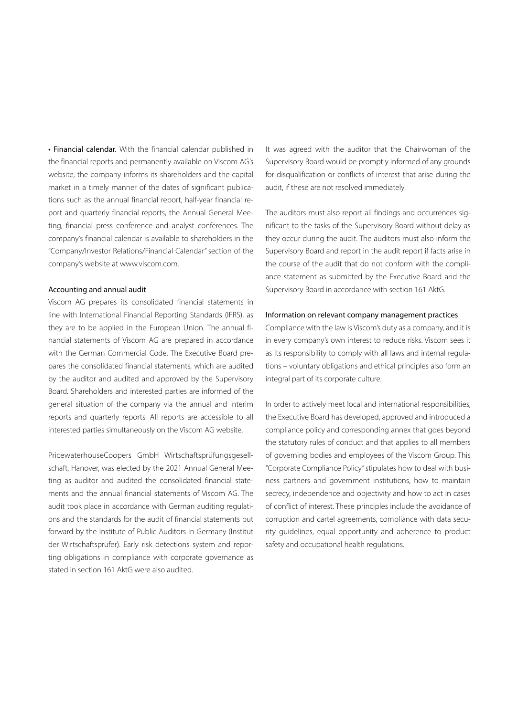• Financial calendar. With the financial calendar published in the financial reports and permanently available on Viscom AG's website, the company informs its shareholders and the capital market in a timely manner of the dates of significant publications such as the annual financial report, half-year financial report and quarterly financial reports, the Annual General Meeting, financial press conference and analyst conferences. The company's financial calendar is available to shareholders in the "Company/Investor Relations/Financial Calendar" section of the company's website at www.viscom.com.

#### Accounting and annual audit

Viscom AG prepares its consolidated financial statements in line with International Financial Reporting Standards (IFRS), as they are to be applied in the European Union. The annual financial statements of Viscom AG are prepared in accordance with the German Commercial Code. The Executive Board prepares the consolidated financial statements, which are audited by the auditor and audited and approved by the Supervisory Board. Shareholders and interested parties are informed of the general situation of the company via the annual and interim reports and quarterly reports. All reports are accessible to all interested parties simultaneously on the Viscom AG website.

PricewaterhouseCoopers GmbH Wirtschaftsprüfungsgesellschaft, Hanover, was elected by the 2021 Annual General Meeting as auditor and audited the consolidated financial statements and the annual financial statements of Viscom AG. The audit took place in accordance with German auditing regulations and the standards for the audit of financial statements put forward by the Institute of Public Auditors in Germany (Institut der Wirtschaftsprüfer). Early risk detections system and reporting obligations in compliance with corporate governance as stated in section 161 AktG were also audited.

It was agreed with the auditor that the Chairwoman of the Supervisory Board would be promptly informed of any grounds for disqualification or conflicts of interest that arise during the audit, if these are not resolved immediately.

The auditors must also report all findings and occurrences significant to the tasks of the Supervisory Board without delay as they occur during the audit. The auditors must also inform the Supervisory Board and report in the audit report if facts arise in the course of the audit that do not conform with the compliance statement as submitted by the Executive Board and the Supervisory Board in accordance with section 161 AktG.

#### Information on relevant company management practices

Compliance with the law is Viscom's duty as a company, and it is in every company's own interest to reduce risks. Viscom sees it as its responsibility to comply with all laws and internal regulations – voluntary obligations and ethical principles also form an integral part of its corporate culture.

In order to actively meet local and international responsibilities, the Executive Board has developed, approved and introduced a compliance policy and corresponding annex that goes beyond the statutory rules of conduct and that applies to all members of governing bodies and employees of the Viscom Group. This "Corporate Compliance Policy" stipulates how to deal with business partners and government institutions, how to maintain secrecy, independence and objectivity and how to act in cases of conflict of interest. These principles include the avoidance of corruption and cartel agreements, compliance with data security guidelines, equal opportunity and adherence to product safety and occupational health regulations.